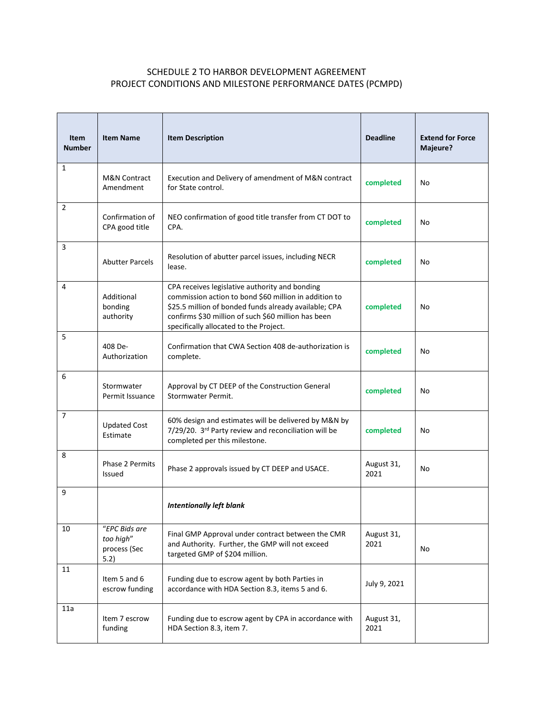## SCHEDULE 2 TO HARBOR DEVELOPMENT AGREEMENT PROJECT CONDITIONS AND MILESTONE PERFORMANCE DATES (PCMPD)

| <b>Item</b><br><b>Number</b> | <b>Item Name</b>                                   | <b>Item Description</b>                                                                                                                                                                                                                                           | <b>Deadline</b>    | <b>Extend for Force</b><br>Majeure? |
|------------------------------|----------------------------------------------------|-------------------------------------------------------------------------------------------------------------------------------------------------------------------------------------------------------------------------------------------------------------------|--------------------|-------------------------------------|
| 1                            | <b>M&amp;N Contract</b><br>Amendment               | Execution and Delivery of amendment of M&N contract<br>for State control.                                                                                                                                                                                         | completed          | No                                  |
| 2                            | Confirmation of<br>CPA good title                  | NEO confirmation of good title transfer from CT DOT to<br>CPA.                                                                                                                                                                                                    | completed          | No                                  |
| 3                            | <b>Abutter Parcels</b>                             | Resolution of abutter parcel issues, including NECR<br>lease.                                                                                                                                                                                                     | completed          | No                                  |
| 4                            | Additional<br>bonding<br>authority                 | CPA receives legislative authority and bonding<br>commission action to bond \$60 million in addition to<br>\$25.5 million of bonded funds already available; CPA<br>confirms \$30 million of such \$60 million has been<br>specifically allocated to the Project. | completed          | No                                  |
| 5                            | 408 De-<br>Authorization                           | Confirmation that CWA Section 408 de-authorization is<br>complete.                                                                                                                                                                                                | completed          | No                                  |
| 6                            | Stormwater<br>Permit Issuance                      | Approval by CT DEEP of the Construction General<br>Stormwater Permit.                                                                                                                                                                                             | completed          | No                                  |
| $\overline{7}$               | <b>Updated Cost</b><br>Estimate                    | 60% design and estimates will be delivered by M&N by<br>7/29/20. 3rd Party review and reconciliation will be<br>completed per this milestone.                                                                                                                     | completed          | No                                  |
| 8                            | Phase 2 Permits<br>Issued                          | Phase 2 approvals issued by CT DEEP and USACE.                                                                                                                                                                                                                    | August 31,<br>2021 | No                                  |
| 9                            |                                                    | <b>Intentionally left blank</b>                                                                                                                                                                                                                                   |                    |                                     |
| 10                           | "EPC Bids are<br>too high"<br>process (Sec<br>5.2) | Final GMP Approval under contract between the CMR<br>and Authority. Further, the GMP will not exceed<br>targeted GMP of \$204 million.                                                                                                                            | August 31,<br>2021 | No                                  |
| 11                           | Item 5 and 6<br>escrow funding                     | Funding due to escrow agent by both Parties in<br>accordance with HDA Section 8.3, items 5 and 6.                                                                                                                                                                 | July 9, 2021       |                                     |
| 11a                          | Item 7 escrow<br>funding                           | Funding due to escrow agent by CPA in accordance with<br>HDA Section 8.3, item 7.                                                                                                                                                                                 | August 31,<br>2021 |                                     |